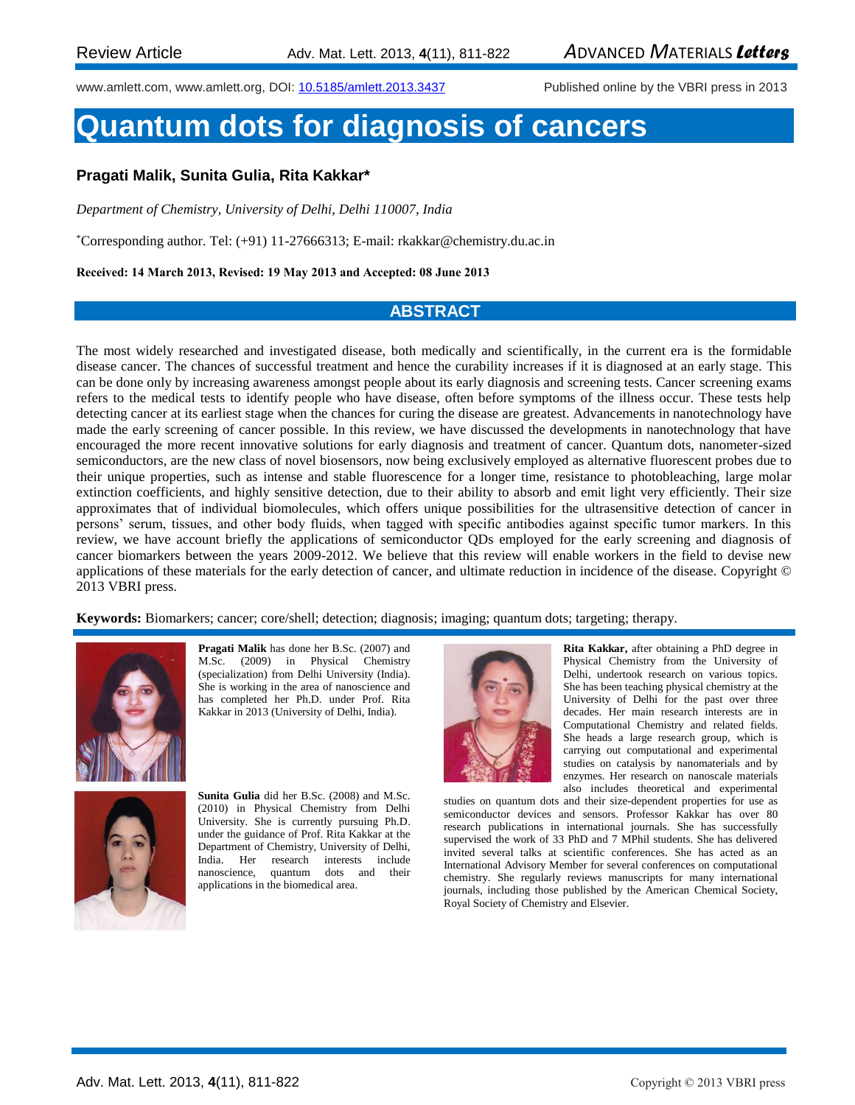www.amlett.com, www.amlett.org, DOI[: 10.5185/amlett.2013.3437](http://dx.doi.org/10.5185/amlett.2013.3437) Published online by the VBRI press in 2013

# **Quantum dots for diagnosis of cancers**

# **Pragati Malik, Sunita Gulia, Rita Kakkar\***

*Department of Chemistry, University of Delhi, Delhi 110007, India*

\*Corresponding author. Tel: (+91) 11-27666313; E-mail: rkakkar@chemistry.du.ac.in

**Received: 14 March 2013, Revised: 19 May 2013 and Accepted: 08 June 2013**

#### **ABSTRACT**

The most widely researched and investigated disease, both medically and scientifically, in the current era is the formidable disease cancer. The chances of successful treatment and hence the curability increases if it is diagnosed at an early stage. This can be done only by increasing awareness amongst people about its early diagnosis and screening tests. Cancer screening exams refers to the medical tests to identify people who have disease, often before symptoms of the illness occur. These tests help detecting cancer at its earliest stage when the chances for curing the disease are greatest. Advancements in nanotechnology have made the early screening of cancer possible. In this review, we have discussed the developments in nanotechnology that have encouraged the more recent innovative solutions for early diagnosis and treatment of cancer. Quantum dots, nanometer-sized semiconductors, are the new class of novel biosensors, now being exclusively employed as alternative fluorescent probes due to their unique properties, such as intense and stable fluorescence for a longer time, resistance to photobleaching, large molar extinction coefficients, and highly sensitive detection, due to their ability to absorb and emit light very efficiently. Their size approximates that of individual biomolecules, which offers unique possibilities for the ultrasensitive detection of cancer in persons' serum, tissues, and other body fluids, when tagged with specific antibodies against specific tumor markers. In this review, we have account briefly the applications of semiconductor QDs employed for the early screening and diagnosis of cancer biomarkers between the years 2009-2012. We believe that this review will enable workers in the field to devise new applications of these materials for the early detection of cancer, and ultimate reduction in incidence of the disease. Copyright © 2013 VBRI press.

**Keywords:** Biomarkers; cancer; core/shell; detection; diagnosis; imaging; quantum dots; targeting; therapy.



**Pragati Malik** has done her B.Sc. (2007) and M.Sc. (2009) in Physical Chemistry (specialization) from Delhi University (India). She is working in the area of nanoscience and has completed her Ph.D. under Prof. Rita Kakkar in 2013 (University of Delhi, India).



**Sunita Gulia** did her B.Sc. (2008) and M.Sc. (2010) in Physical Chemistry from Delhi University. She is currently pursuing Ph.D. under the guidance of Prof. Rita Kakkar at the Department of Chemistry, University of Delhi, India. Her research interests include nanoscience, quantum dots and their applications in the biomedical area.



**Rita Kakkar,** after obtaining a PhD degree in Physical Chemistry from the University of Delhi, undertook research on various topics. She has been teaching physical chemistry at the University of Delhi for the past over three decades. Her main research interests are in Computational Chemistry and related fields. She heads a large research group, which is carrying out computational and experimental studies on catalysis by nanomaterials and by enzymes. Her research on nanoscale materials also includes theoretical and experimental

studies on quantum dots and their size-dependent properties for use as semiconductor devices and sensors. Professor Kakkar has over 80 research publications in international journals. She has successfully supervised the work of 33 PhD and 7 MPhil students. She has delivered invited several talks at scientific conferences. She has acted as an International Advisory Member for several conferences on computational chemistry. She regularly reviews manuscripts for many international journals, including those published by the American Chemical Society, Royal Society of Chemistry and Elsevier.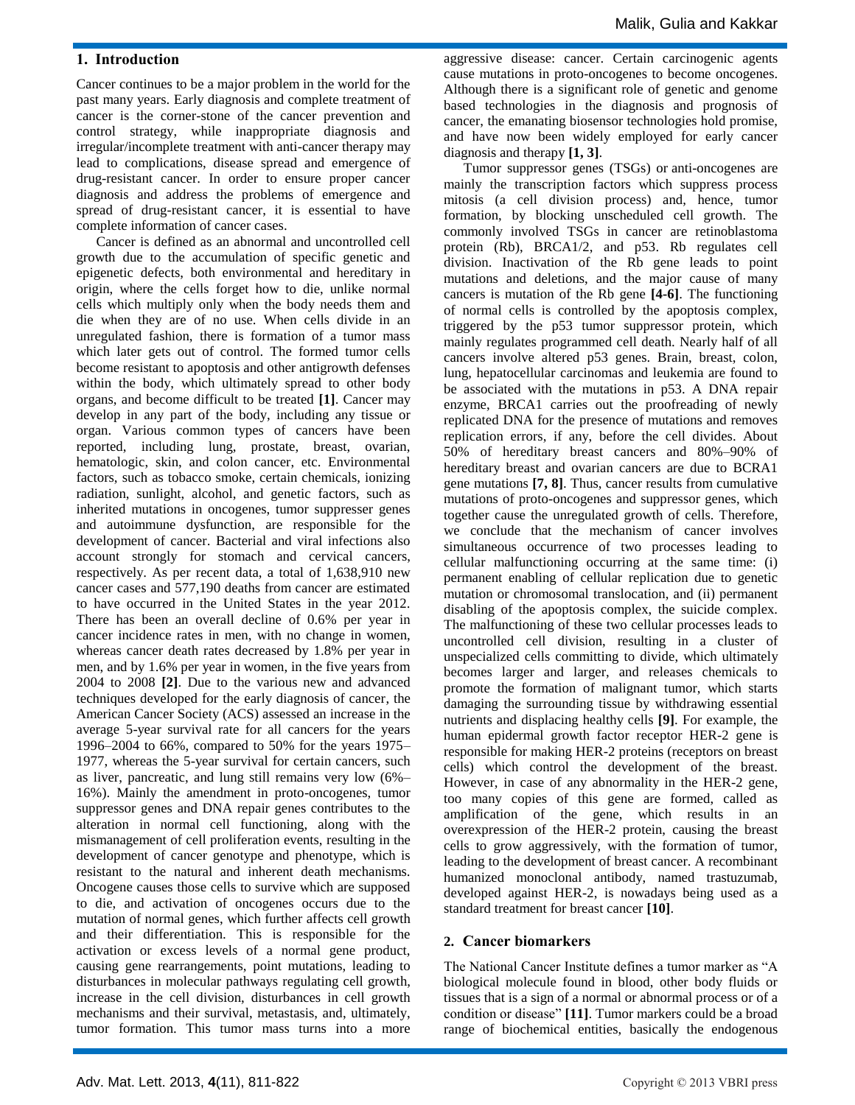# **1. Introduction**

Cancer continues to be a major problem in the world for the past many years. Early diagnosis and complete treatment of cancer is the corner-stone of the cancer prevention and control strategy, while inappropriate diagnosis and irregular/incomplete treatment with anti-cancer therapy may lead to complications, disease spread and emergence of drug-resistant cancer. In order to ensure proper cancer diagnosis and address the problems of emergence and spread of drug-resistant cancer, it is essential to have complete information of cancer cases.

Cancer is defined as an abnormal and uncontrolled cell growth due to the accumulation of specific genetic and epigenetic defects, both environmental and hereditary in origin, where the cells forget how to die, unlike normal cells which multiply only when the body needs them and die when they are of no use. When cells divide in an unregulated fashion, there is formation of a tumor mass which later gets out of control. The formed tumor cells become resistant to apoptosis and other antigrowth defenses within the body, which ultimately spread to other body organs, and become difficult to be treated **[1]**. Cancer may develop in any part of the body, including any tissue or organ. Various common types of cancers have been reported, including lung, prostate, breast, ovarian, hematologic, skin, and colon cancer, etc. Environmental factors, such as tobacco smoke, certain chemicals, ionizing radiation, sunlight, alcohol, and genetic factors, such as inherited mutations in oncogenes, tumor suppresser genes and autoimmune dysfunction, are responsible for the development of cancer. Bacterial and viral infections also account strongly for stomach and cervical cancers, respectively. As per recent data, a total of 1,638,910 new cancer cases and 577,190 deaths from cancer are estimated to have occurred in the United States in the year 2012. There has been an overall decline of 0.6% per year in cancer incidence rates in men, with no change in women, whereas cancer death rates decreased by 1.8% per year in men, and by 1.6% per year in women, in the five years from 2004 to 2008 **[2]**. Due to the various new and advanced techniques developed for the early diagnosis of cancer, the American Cancer Society (ACS) assessed an increase in the average 5-year survival rate for all cancers for the years 1996–2004 to 66%, compared to 50% for the years 1975– 1977, whereas the 5-year survival for certain cancers, such as liver, pancreatic, and lung still remains very low (6%– 16%). Mainly the amendment in proto-oncogenes, tumor suppressor genes and DNA repair genes contributes to the alteration in normal cell functioning, along with the mismanagement of cell proliferation events, resulting in the development of cancer genotype and phenotype, which is resistant to the natural and inherent death mechanisms. Oncogene causes those cells to survive which are supposed to die, and activation of oncogenes occurs due to the mutation of normal genes, which further affects cell growth and their differentiation. This is responsible for the activation or excess levels of a normal gene product, causing gene rearrangements, point mutations, leading to disturbances in molecular pathways regulating cell growth, increase in the cell division, disturbances in cell growth mechanisms and their survival, metastasis, and, ultimately, tumor formation. This tumor mass turns into a more

aggressive disease: cancer. Certain carcinogenic agents cause mutations in proto-oncogenes to become oncogenes. Although there is a significant role of genetic and genome based technologies in the diagnosis and prognosis of cancer, the emanating biosensor technologies hold promise, and have now been widely employed for early cancer diagnosis and therapy **[1, 3]**.

Tumor suppressor genes (TSGs) or anti-oncogenes are mainly the transcription factors which suppress process mitosis (a cell division process) and, hence, tumor formation, by blocking unscheduled cell growth. The commonly involved TSGs in cancer are retinoblastoma protein (Rb), BRCA1/2, and p53. Rb regulates cell division. Inactivation of the Rb gene leads to point mutations and deletions, and the major cause of many cancers is mutation of the Rb gene **[4-6]**. The functioning of normal cells is controlled by the apoptosis complex, triggered by the p53 tumor suppressor protein, which mainly regulates programmed cell death. Nearly half of all cancers involve altered p53 genes. Brain, breast, colon, lung, hepatocellular carcinomas and leukemia are found to be associated with the mutations in p53. A DNA repair enzyme, BRCA1 carries out the proofreading of newly replicated DNA for the presence of mutations and removes replication errors, if any, before the cell divides. About 50% of hereditary breast cancers and 80%–90% of hereditary breast and ovarian cancers are due to BCRA1 gene mutations **[7, 8]**. Thus, cancer results from cumulative mutations of proto-oncogenes and suppressor genes, which together cause the unregulated growth of cells. Therefore, we conclude that the mechanism of cancer involves simultaneous occurrence of two processes leading to cellular malfunctioning occurring at the same time: (i) permanent enabling of cellular replication due to genetic mutation or chromosomal translocation, and (ii) permanent disabling of the apoptosis complex, the suicide complex. The malfunctioning of these two cellular processes leads to uncontrolled cell division, resulting in a cluster of unspecialized cells committing to divide, which ultimately becomes larger and larger, and releases chemicals to promote the formation of malignant tumor, which starts damaging the surrounding tissue by withdrawing essential nutrients and displacing healthy cells **[9]**. For example, the human epidermal growth factor receptor HER-2 gene is responsible for making HER-2 proteins (receptors on breast cells) which control the development of the breast. However, in case of any abnormality in the HER-2 gene, too many copies of this gene are formed, called as amplification of the gene, which results in an overexpression of the HER-2 protein, causing the breast cells to grow aggressively, with the formation of tumor, leading to the development of breast cancer. A recombinant humanized monoclonal antibody, named trastuzumab, developed against HER-2, is nowadays being used as a standard treatment for breast cancer **[10]**.

# **2. Cancer biomarkers**

The National Cancer Institute defines a tumor marker as "A biological molecule found in blood, other body fluids or tissues that is a sign of a normal or abnormal process or of a condition or disease" **[11]**. Tumor markers could be a broad range of biochemical entities, basically the endogenous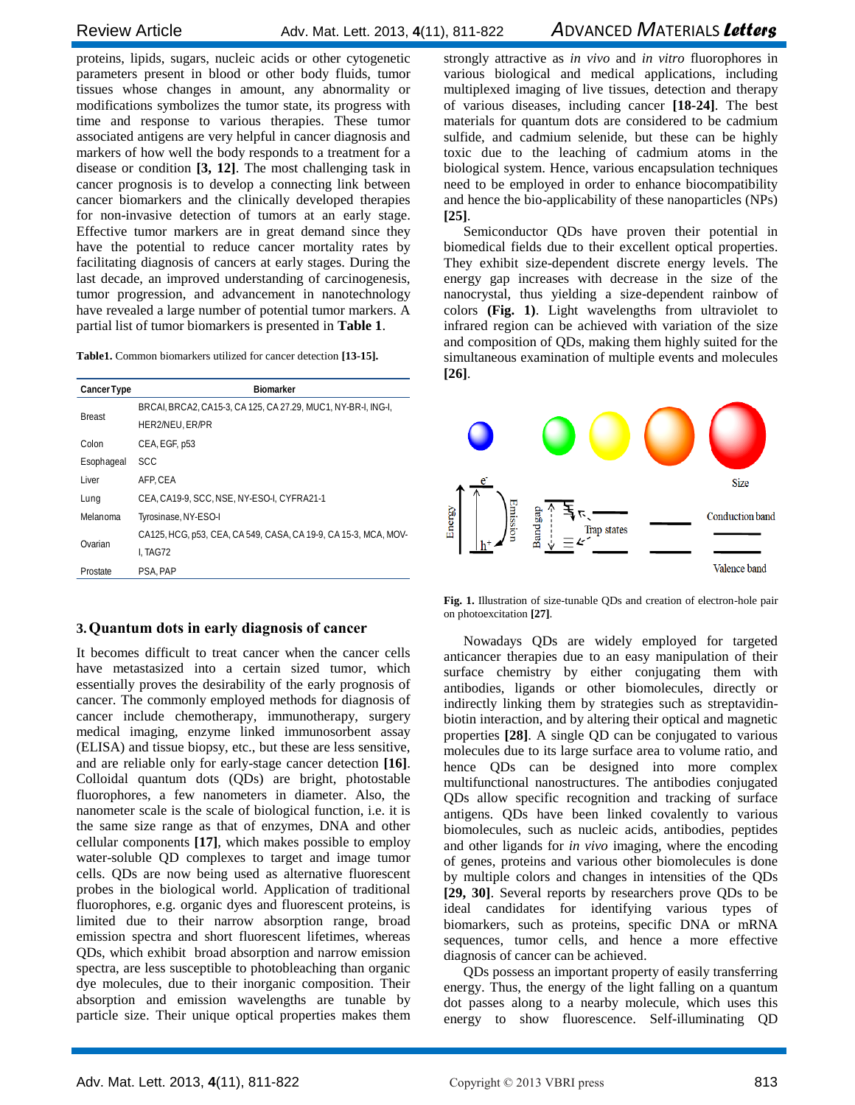proteins, lipids, sugars, nucleic acids or other cytogenetic parameters present in blood or other body fluids, tumor tissues whose changes in amount, any abnormality or modifications symbolizes the tumor state, its progress with time and response to various therapies. These tumor associated antigens are very helpful in cancer diagnosis and markers of how well the body responds to a treatment for a disease or condition **[3, 12]**. The most challenging task in cancer prognosis is to develop a connecting link between cancer biomarkers and the clinically developed therapies for non-invasive detection of tumors at an early stage. Effective tumor markers are in great demand since they have the potential to reduce cancer mortality rates by facilitating diagnosis of cancers at early stages. During the last decade, an improved understanding of carcinogenesis, tumor progression, and advancement in nanotechnology have revealed a large number of potential tumor markers. A partial list of tumor biomarkers is presented in **Table 1**.

**Table1.** Common biomarkers utilized for cancer detection **[13-15].**

| <b>Cancer Type</b> | <b>Biomarker</b>                                                |
|--------------------|-----------------------------------------------------------------|
| <b>Breast</b>      | BRCAI, BRCA2, CA15-3, CA125, CA 27.29, MUC1, NY-BR-I, ING-I,    |
|                    | HER2/NEU, ER/PR                                                 |
| Colon              | CEA, EGF, p53                                                   |
| Esophageal         | SCC                                                             |
| Liver              | AFP.CEA                                                         |
| Lung               | CEA, CA19-9, SCC, NSE, NY-ESO-I, CYFRA21-1                      |
| Melanoma           | Tyrosinase, NY-ESO-I                                            |
| Ovarian            | CA125, HCG, p53, CEA, CA 549, CASA, CA 19-9, CA 15-3, MCA, MOV- |
|                    | I. TAG72                                                        |
| Prostate           | PSA, PAP                                                        |

#### **3.Quantum dots in early diagnosis of cancer**

It becomes difficult to treat cancer when the cancer cells have metastasized into a certain sized tumor, which essentially proves the desirability of the early prognosis of cancer. The commonly employed methods for diagnosis of cancer include chemotherapy, immunotherapy, surgery medical imaging, enzyme linked immunosorbent assay (ELISA) and tissue biopsy, etc., but these are less sensitive, and are reliable only for early-stage cancer detection **[16]**. Colloidal quantum dots (QDs) are bright, photostable fluorophores, a few nanometers in diameter. Also, the nanometer scale is the scale of biological function, i.e. it is the same size range as that of enzymes, DNA and other cellular components **[17]**, which makes possible to employ water-soluble QD complexes to target and image tumor cells. QDs are now being used as alternative fluorescent probes in the biological world. Application of traditional fluorophores, e.g. organic dyes and fluorescent proteins, is limited due to their narrow absorption range, broad emission spectra and short fluorescent lifetimes, whereas QDs, which exhibit broad absorption and narrow emission spectra, are less susceptible to photobleaching than organic dye molecules, due to their inorganic composition. Their absorption and emission wavelengths are tunable by particle size. Their unique optical properties makes them

strongly attractive as *in vivo* and *in vitro* fluorophores in various biological and medical applications, including multiplexed imaging of live tissues, detection and therapy of various diseases, including cancer **[18-24]**. The best materials for quantum dots are considered to be cadmium sulfide, and cadmium selenide, but these can be highly toxic due to the leaching of cadmium atoms in the biological system. Hence, various encapsulation techniques need to be employed in order to enhance biocompatibility and hence the bio-applicability of these nanoparticles (NPs) **[25]**.

Semiconductor QDs have proven their potential in biomedical fields due to their excellent optical properties. They exhibit size-dependent discrete energy levels. The energy gap increases with decrease in the size of the nanocrystal, thus yielding a size-dependent rainbow of colors **(Fig. 1)**. Light wavelengths from ultraviolet to infrared region can be achieved with variation of the size and composition of QDs, making them highly suited for the simultaneous examination of multiple events and molecules **[26]**.



**Fig. 1.** Illustration of size-tunable QDs and creation of electron-hole pair on photoexcitation **[27]**.

Nowadays QDs are widely employed for targeted anticancer therapies due to an easy manipulation of their surface chemistry by either conjugating them with antibodies, ligands or other biomolecules, directly or indirectly linking them by strategies such as streptavidinbiotin interaction, and by altering their optical and magnetic properties **[28]**. A single QD can be conjugated to various molecules due to its large surface area to volume ratio, and hence QDs can be designed into more complex multifunctional nanostructures. The antibodies conjugated QDs allow specific recognition and tracking of surface antigens. QDs have been linked covalently to various biomolecules, such as nucleic acids, antibodies, peptides and other ligands for *in vivo* imaging, where the encoding of genes, proteins and various other biomolecules is done by multiple colors and changes in intensities of the QDs **[29, 30]**. Several reports by researchers prove QDs to be ideal candidates for identifying various types of biomarkers, such as proteins, specific DNA or mRNA sequences, tumor cells, and hence a more effective diagnosis of cancer can be achieved.

QDs possess an important property of easily transferring energy. Thus, the energy of the light falling on a quantum dot passes along to a nearby molecule, which uses this energy to show fluorescence. Self-illuminating QD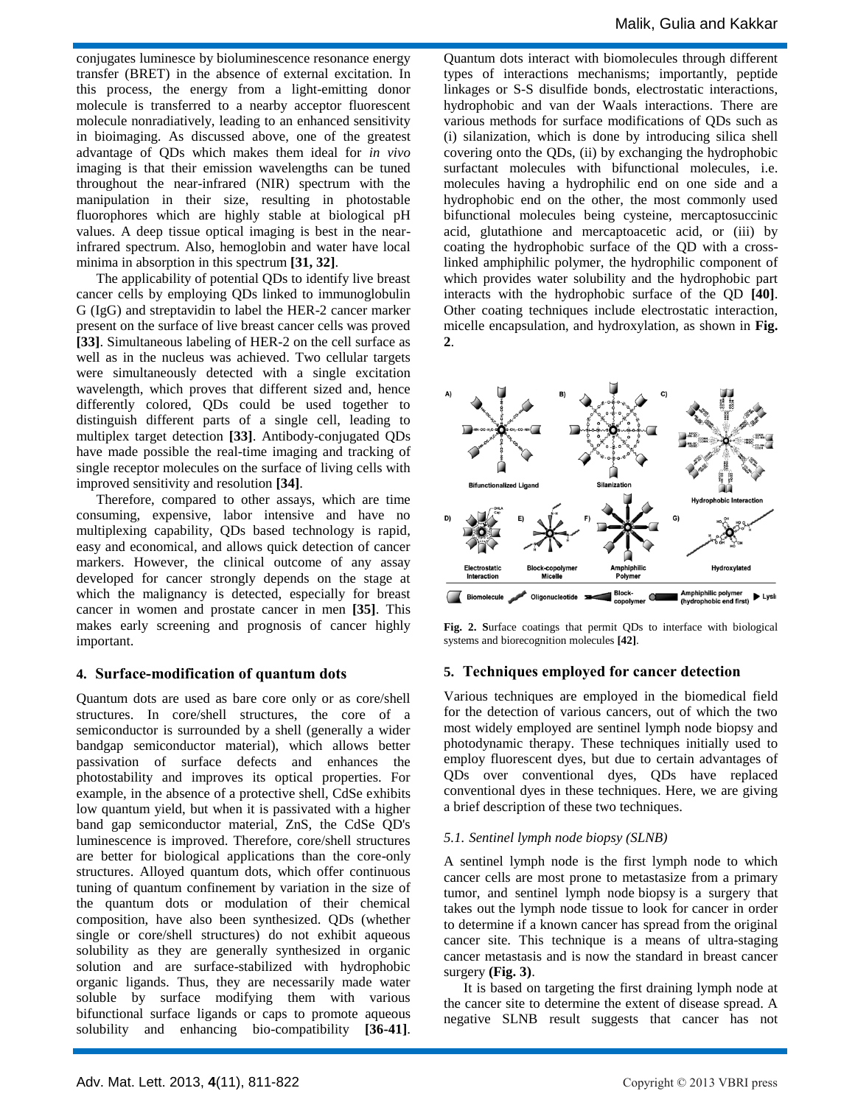conjugates luminesce by bioluminescence resonance energy transfer (BRET) in the absence of external excitation. In this process, the energy from a light-emitting donor molecule is transferred to a nearby acceptor fluorescent molecule nonradiatively, leading to an enhanced sensitivity in bioimaging. As discussed above, one of the greatest advantage of QDs which makes them ideal for *in vivo*  imaging is that their emission wavelengths can be tuned throughout the near-infrared (NIR) spectrum with the manipulation in their size, resulting in photostable fluorophores which are highly stable at biological pH values. A deep tissue optical imaging is best in the nearinfrared spectrum. Also, hemoglobin and water have local minima in absorption in this spectrum **[31, 32]**.

The applicability of potential QDs to identify live breast cancer cells by employing QDs linked to immunoglobulin G (IgG) and streptavidin to label the HER-2 cancer marker present on the surface of live breast cancer cells was proved **[33]**. Simultaneous labeling of HER-2 on the cell surface as well as in the nucleus was achieved. Two cellular targets were simultaneously detected with a single excitation wavelength, which proves that different sized and, hence differently colored, QDs could be used together to distinguish different parts of a single cell, leading to multiplex target detection **[33]**. Antibody-conjugated QDs have made possible the real-time imaging and tracking of single receptor molecules on the surface of living cells with improved sensitivity and resolution **[34]**.

Therefore, compared to other assays, which are time consuming, expensive, labor intensive and have no multiplexing capability, QDs based technology is rapid, easy and economical, and allows quick detection of cancer markers. However, the clinical outcome of any assay developed for cancer strongly depends on the stage at which the malignancy is detected, especially for breast cancer in women and prostate cancer in men **[35]**. This makes early screening and prognosis of cancer highly important.

#### **4. Surface-modification of quantum dots**

Quantum dots are used as bare core only or as core/shell structures. In core/shell structures, the core of a semiconductor is surrounded by a shell (generally a wider bandgap semiconductor material), which allows better passivation of surface defects and enhances the photostability and improves its optical properties. For example, in the absence of a protective shell, CdSe exhibits low quantum yield, but when it is passivated with a higher band gap semiconductor material, ZnS, the CdSe QD's luminescence is improved. Therefore, core/shell structures are better for biological applications than the core-only structures. Alloyed quantum dots, which offer continuous tuning of quantum confinement by variation in the size of the quantum dots or modulation of their chemical composition, have also been synthesized. QDs (whether single or core/shell structures) do not exhibit aqueous solubility as they are generally synthesized in organic solution and are surface-stabilized with hydrophobic organic ligands. Thus, they are necessarily made water soluble by surface modifying them with various bifunctional surface ligands or caps to promote aqueous solubility and enhancing bio-compatibility **[36-41]**.

Quantum dots interact with biomolecules through different types of interactions mechanisms; importantly, peptide linkages or S-S disulfide bonds, electrostatic interactions, hydrophobic and van der Waals interactions. There are various methods for surface modifications of QDs such as (i) silanization, which is done by introducing silica shell covering onto the QDs, (ii) by exchanging the hydrophobic surfactant molecules with bifunctional molecules, i.e. molecules having a hydrophilic end on one side and a hydrophobic end on the other, the most commonly used bifunctional molecules being cysteine, mercaptosuccinic acid, glutathione and mercaptoacetic acid, or (iii) by coating the hydrophobic surface of the QD with a crosslinked amphiphilic polymer, the hydrophilic component of which provides water solubility and the hydrophobic part interacts with the hydrophobic surface of the QD **[40]**. Other coating techniques include electrostatic interaction, micelle encapsulation, and hydroxylation, as shown in **Fig. 2**.



**Fig. 2. S**urface coatings that permit QDs to interface with biological systems and biorecognition molecules **[42]**.

# **5. Techniques employed for cancer detection**

Various techniques are employed in the biomedical field for the detection of various cancers, out of which the two most widely employed are sentinel lymph node biopsy and photodynamic therapy. These techniques initially used to employ fluorescent dyes, but due to certain advantages of QDs over conventional dyes, QDs have replaced conventional dyes in these techniques. Here, we are giving a brief description of these two techniques.

# *5.1. Sentinel lymph node biopsy (SLNB)*

A sentinel lymph node is the first lymph node to which cancer cells are most prone to metastasize from a primary tumor, and sentinel lymph node biopsy is a surgery that takes out the lymph node tissue to look for cancer in order to determine if a known cancer has spread from the original cancer site. This technique is a means of ultra-staging cancer metastasis and is now the standard in breast cancer surgery **(Fig. 3)**.

It is based on targeting the first draining lymph node at the cancer site to determine the extent of disease spread. A negative SLNB result suggests that cancer has not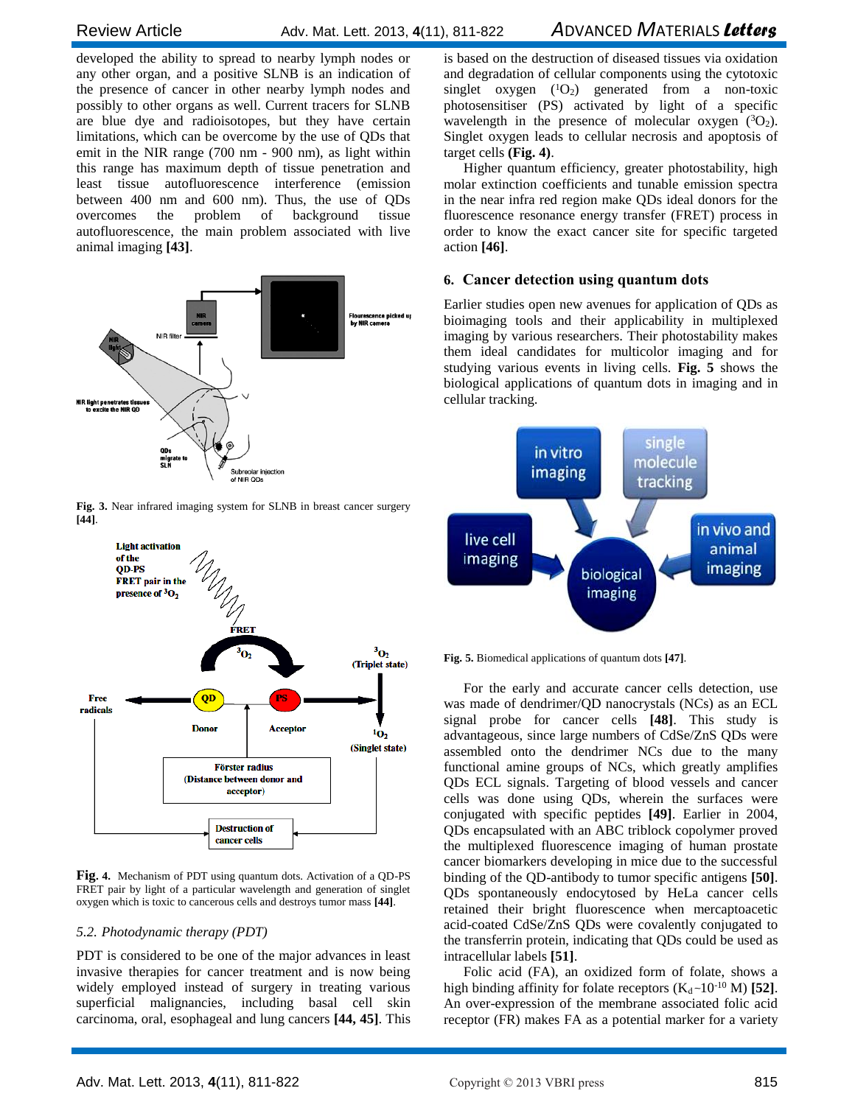developed the ability to spread to nearby lymph nodes or any other organ, and a positive SLNB is an indication of the presence of cancer in other nearby lymph nodes and possibly to other organs as well. Current tracers for SLNB are blue dye and radioisotopes, but they have certain limitations, which can be overcome by the use of QDs that emit in the NIR range (700 nm - 900 nm), as light within this range has maximum depth of tissue penetration and least tissue autofluorescence interference (emission between 400 nm and 600 nm). Thus, the use of QDs overcomes the problem of background tissue autofluorescence, the main problem associated with live animal imaging **[43]**.



**Fig. 3.** Near infrared imaging system for SLNB in breast cancer surgery **[44]**.



**Fig. 4.** Mechanism of PDT using quantum dots. Activation of a QD-PS FRET pair by light of a particular wavelength and generation of singlet oxygen which is toxic to cancerous cells and destroys tumor mass **[44]**.

#### *5.2. Photodynamic therapy (PDT)*

PDT is considered to be one of the major advances in least invasive therapies for cancer treatment and is now being widely employed instead of surgery in treating various superficial malignancies, including basal cell skin carcinoma, oral, esophageal and lung cancers **[44, 45]**. This is based on the destruction of diseased tissues via oxidation and degradation of cellular components using the cytotoxic singlet oxygen  $(^{1}O_{2})$  generated from a non-toxic photosensitiser (PS) activated by light of a specific wavelength in the presence of molecular oxygen  $(^{3}O_{2})$ . Singlet oxygen leads to cellular necrosis and apoptosis of target cells **(Fig. 4)**.

Higher quantum efficiency, greater photostability, high molar extinction coefficients and tunable emission spectra in the near infra red region make QDs ideal donors for the fluorescence resonance energy transfer (FRET) process in order to know the exact cancer site for specific targeted action **[46]**.

# **6. Cancer detection using quantum dots**

Earlier studies open new avenues for application of QDs as bioimaging tools and their applicability in multiplexed imaging by various researchers. Their photostability makes them ideal candidates for multicolor imaging and for studying various events in living cells. **Fig. 5** shows the biological applications of quantum dots in imaging and in cellular tracking.



**Fig. 5.** Biomedical applications of quantum dots **[47]**.

For the early and accurate cancer cells detection, use was made of dendrimer/QD nanocrystals (NCs) as an ECL signal probe for cancer cells **[48]**. This study is advantageous, since large numbers of CdSe/ZnS QDs were assembled onto the dendrimer NCs due to the many functional amine groups of NCs, which greatly amplifies QDs ECL signals. Targeting of blood vessels and cancer cells was done using QDs, wherein the surfaces were conjugated with specific peptides **[49]**. Earlier in 2004, QDs encapsulated with an ABC triblock copolymer proved the multiplexed fluorescence imaging of human prostate cancer biomarkers developing in mice due to the successful binding of the QD-antibody to tumor specific antigens **[50]**. QDs spontaneously endocytosed by HeLa cancer cells retained their bright fluorescence when mercaptoacetic acid-coated CdSe/ZnS QDs were covalently conjugated to the transferrin protein, indicating that QDs could be used as intracellular labels **[51]**.

Folic acid (FA), an oxidized form of folate, shows a high binding affinity for folate receptors  $(K_d \sim 10^{-10} M)$  [52]. An over-expression of the membrane associated folic acid receptor (FR) makes FA as a potential marker for a variety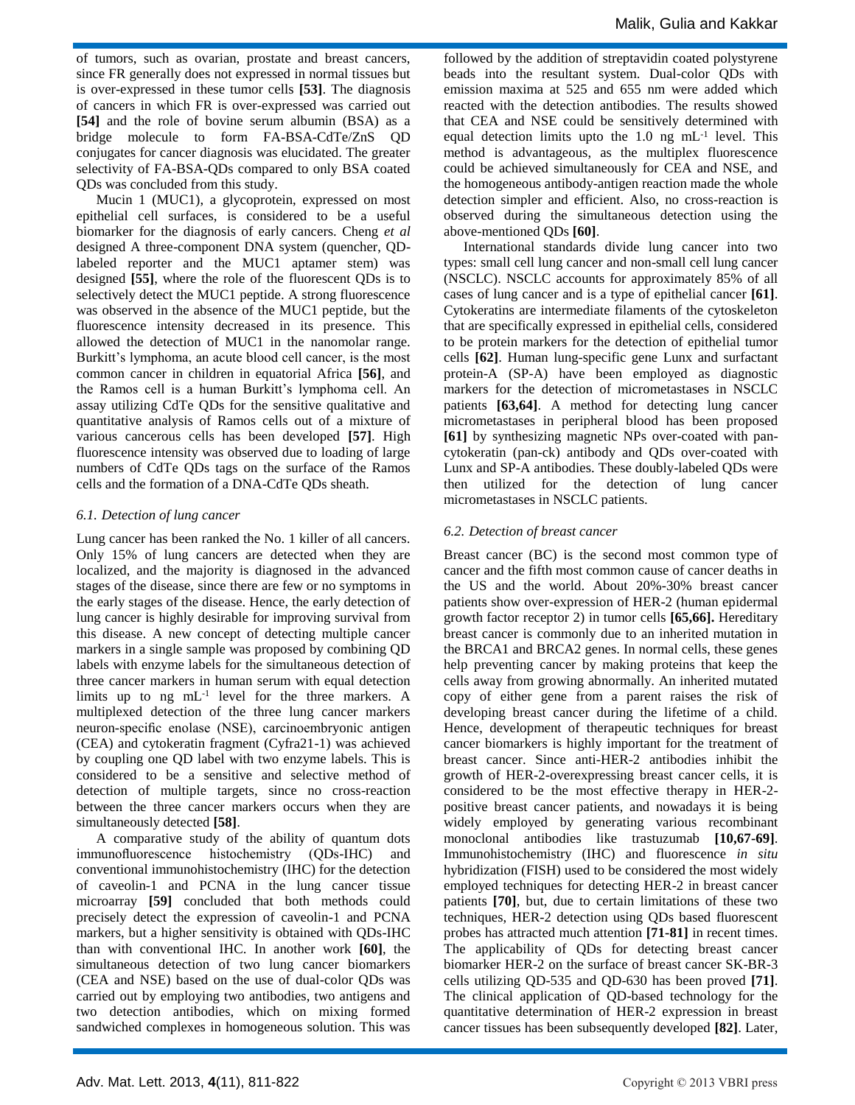of tumors, such as ovarian, prostate and breast cancers, since FR generally does not expressed in normal tissues but is over-expressed in these tumor cells **[53]**. The diagnosis of cancers in which FR is over-expressed was carried out **[54]** and the role of bovine serum albumin (BSA) as a bridge molecule to form FA-BSA-CdTe/ZnS QD conjugates for cancer diagnosis was elucidated. The greater selectivity of FA-BSA-QDs compared to only BSA coated QDs was concluded from this study.

Mucin 1 (MUC1), a glycoprotein, expressed on most epithelial cell surfaces, is considered to be a useful biomarker for the diagnosis of early cancers. Cheng *et al* designed A three-component DNA system (quencher, QDlabeled reporter and the MUC1 aptamer stem) was designed **[55]**, where the role of the fluorescent QDs is to selectively detect the MUC1 peptide. A strong fluorescence was observed in the absence of the MUC1 peptide, but the fluorescence intensity decreased in its presence. This allowed the detection of MUC1 in the nanomolar range. Burkitt's lymphoma, an acute blood cell cancer, is the most common cancer in children in equatorial Africa **[56]**, and the Ramos cell is a human Burkitt's lymphoma cell. An assay utilizing CdTe QDs for the sensitive qualitative and quantitative analysis of Ramos cells out of a mixture of various cancerous cells has been developed **[57]**. High fluorescence intensity was observed due to loading of large numbers of CdTe QDs tags on the surface of the Ramos cells and the formation of a DNA-CdTe QDs sheath.

#### *6.1. Detection of lung cancer*

Lung cancer has been ranked the No. 1 killer of all cancers. Only 15% of lung cancers are detected when they are localized, and the majority is diagnosed in the advanced stages of the disease, since there are few or no symptoms in the early stages of the disease. Hence, the early detection of lung cancer is highly desirable for improving survival from this disease. A new concept of detecting multiple cancer markers in a single sample was proposed by combining QD labels with enzyme labels for the simultaneous detection of three cancer markers in human serum with equal detection limits up to ng  $mL^{-1}$  level for the three markers. A multiplexed detection of the three lung cancer markers neuron-specific enolase (NSE), carcinoembryonic antigen (CEA) and cytokeratin fragment (Cyfra21-1) was achieved by coupling one QD label with two enzyme labels. This is considered to be a sensitive and selective method of detection of multiple targets, since no cross-reaction between the three cancer markers occurs when they are simultaneously detected **[58]**.

A comparative study of the ability of quantum dots immunofluorescence histochemistry (QDs-IHC) and conventional immunohistochemistry (IHC) for the detection of caveolin-1 and PCNA in the lung cancer tissue microarray **[59]** concluded that both methods could precisely detect the expression of caveolin-1 and PCNA markers, but a higher sensitivity is obtained with QDs-IHC than with conventional IHC. In another work **[60]**, the simultaneous detection of two lung cancer biomarkers (CEA and NSE) based on the use of dual-color QDs was carried out by employing two antibodies, two antigens and two detection antibodies, which on mixing formed sandwiched complexes in homogeneous solution. This was

followed by the addition of streptavidin coated polystyrene beads into the resultant system. Dual-color QDs with emission maxima at 525 and 655 nm were added which reacted with the detection antibodies. The results showed that CEA and NSE could be sensitively determined with equal detection limits upto the  $1.0 \text{ ng } mL^{-1}$  level. This method is advantageous, as the multiplex fluorescence could be achieved simultaneously for CEA and NSE, and the homogeneous antibody-antigen reaction made the whole detection simpler and efficient. Also, no cross-reaction is observed during the simultaneous detection using the above-mentioned QDs **[60]**.

International standards divide lung cancer into two types: small cell lung cancer and non-small cell lung cancer (NSCLC). NSCLC accounts for approximately 85% of all cases of lung cancer and is a type of epithelial cancer **[61]**. Cytokeratins are intermediate filaments of the cytoskeleton that are specifically expressed in epithelial cells, considered to be protein markers for the detection of epithelial tumor cells **[62]**. Human lung-specific gene Lunx and surfactant protein-A (SP-A) have been employed as diagnostic markers for the detection of micrometastases in NSCLC patients **[63,64]**. A method for detecting lung cancer micrometastases in peripheral blood has been proposed **[61]** by synthesizing magnetic NPs over-coated with pancytokeratin (pan-ck) antibody and QDs over-coated with Lunx and SP-A antibodies. These doubly-labeled QDs were then utilized for the detection of lung cancer micrometastases in NSCLC patients.

#### *6.2. Detection of breast cancer*

Breast cancer (BC) is the second most common type of cancer and the fifth most common cause of cancer deaths in the US and the world. About 20%-30% breast cancer patients show over-expression of HER-2 (human epidermal growth factor receptor 2) in tumor cells **[65,66].** Hereditary breast cancer is commonly due to an inherited mutation in the BRCA1 and BRCA2 genes. In normal cells, these genes help preventing cancer by making proteins that keep the cells away from growing abnormally. An inherited mutated copy of either gene from a parent raises the risk of developing breast cancer during the lifetime of a child. Hence, development of therapeutic techniques for breast cancer biomarkers is highly important for the treatment of breast cancer. Since anti-HER-2 antibodies inhibit the growth of HER-2-overexpressing breast cancer cells, it is considered to be the most effective therapy in HER-2 positive breast cancer patients, and nowadays it is being widely employed by generating various recombinant monoclonal antibodies like trastuzumab **[10,67-69]**. Immunohistochemistry (IHC) and fluorescence *in situ*  hybridization (FISH) used to be considered the most widely employed techniques for detecting HER-2 in breast cancer patients **[70]**, but, due to certain limitations of these two techniques, HER-2 detection using QDs based fluorescent probes has attracted much attention **[71-81]** in recent times. The applicability of QDs for detecting breast cancer biomarker HER-2 on the surface of breast cancer SK-BR-3 cells utilizing QD-535 and QD-630 has been proved **[71]**. The clinical application of QD-based technology for the quantitative determination of HER-2 expression in breast cancer tissues has been subsequently developed **[82]**. Later,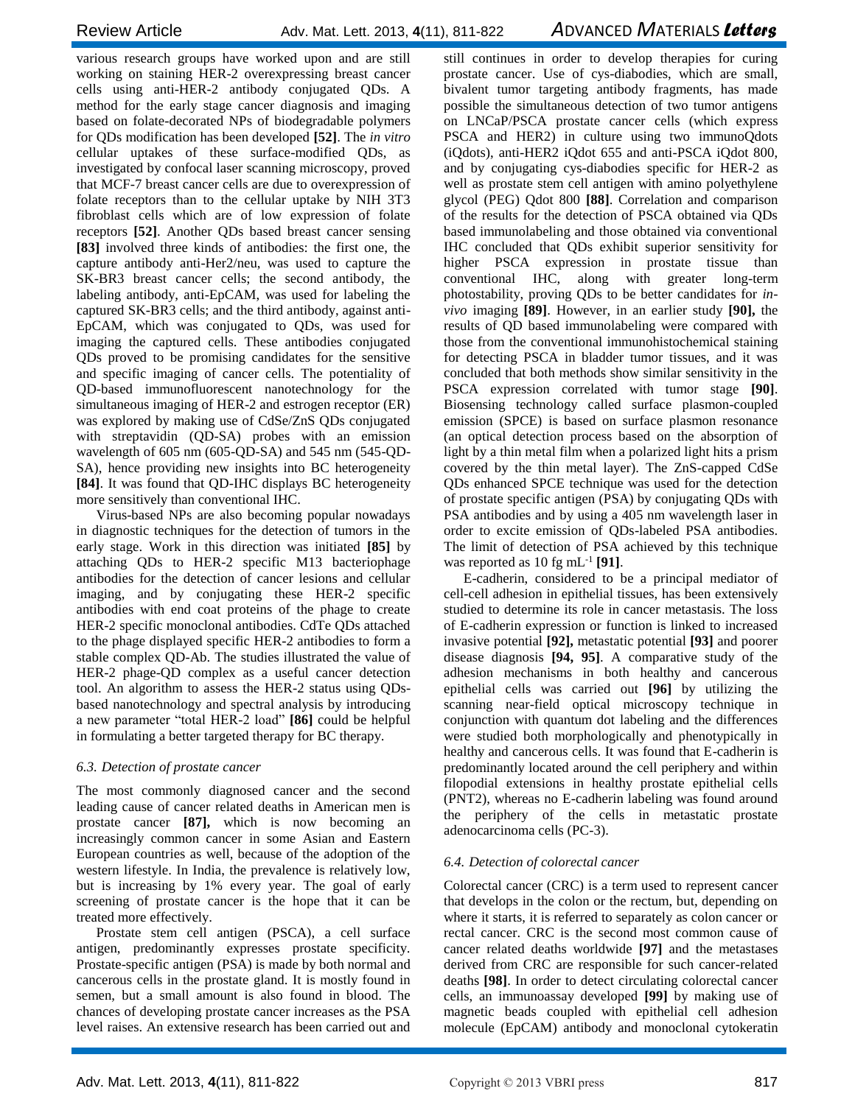various research groups have worked upon and are still working on staining HER-2 overexpressing breast cancer cells using anti-HER-2 antibody conjugated QDs. A method for the early stage cancer diagnosis and imaging based on folate-decorated NPs of biodegradable polymers for QDs modification has been developed **[52]**. The *in vitro* cellular uptakes of these surface-modified QDs, as investigated by confocal laser scanning microscopy, proved that MCF-7 breast cancer cells are due to overexpression of folate receptors than to the cellular uptake by NIH 3T3 fibroblast cells which are of low expression of folate receptors **[52]**. Another QDs based breast cancer sensing **[83]** involved three kinds of antibodies: the first one, the capture antibody anti-Her2/neu, was used to capture the SK-BR3 breast cancer cells; the second antibody, the labeling antibody, anti-EpCAM, was used for labeling the captured SK-BR3 cells; and the third antibody, against anti-EpCAM, which was conjugated to QDs, was used for imaging the captured cells. These antibodies conjugated QDs proved to be promising candidates for the sensitive and specific imaging of cancer cells. The potentiality of QD-based immunofluorescent nanotechnology for the simultaneous imaging of HER-2 and estrogen receptor (ER) was explored by making use of CdSe/ZnS QDs conjugated with streptavidin (QD-SA) probes with an emission wavelength of 605 nm (605-QD-SA) and 545 nm (545-QD-SA), hence providing new insights into BC heterogeneity **[84]**. It was found that QD-IHC displays BC heterogeneity more sensitively than conventional IHC.

Virus-based NPs are also becoming popular nowadays in diagnostic techniques for the detection of tumors in the early stage. Work in this direction was initiated **[85]** by attaching QDs to HER-2 specific M13 bacteriophage antibodies for the detection of cancer lesions and cellular imaging, and by conjugating these HER-2 specific antibodies with end coat proteins of the phage to create HER-2 specific monoclonal antibodies. CdTe QDs attached to the phage displayed specific HER-2 antibodies to form a stable complex QD-Ab. The studies illustrated the value of HER-2 phage-QD complex as a useful cancer detection tool. An algorithm to assess the HER-2 status using QDsbased nanotechnology and spectral analysis by introducing a new parameter "total HER-2 load" **[86]** could be helpful in formulating a better targeted therapy for BC therapy.

#### *6.3. Detection of prostate cancer*

The most commonly diagnosed cancer and the second leading cause of cancer related deaths in American men is prostate cancer **[87],** which is now becoming an increasingly common cancer in some Asian and Eastern European countries as well, because of the adoption of the western lifestyle. In India, the prevalence is relatively low, but is increasing by 1% every year. The goal of early screening of prostate cancer is the hope that it can be treated more effectively.

Prostate stem cell antigen (PSCA), a cell surface antigen, predominantly expresses prostate specificity. Prostate-specific antigen (PSA) is made by both normal and cancerous cells in the prostate gland. It is mostly found in semen, but a small amount is also found in blood. The chances of developing prostate cancer increases as the PSA level raises. An extensive research has been carried out and

still continues in order to develop therapies for curing prostate cancer. Use of cys-diabodies, which are small, bivalent tumor targeting antibody fragments, has made possible the simultaneous detection of two tumor antigens on LNCaP/PSCA prostate cancer cells (which express PSCA and HER2) in culture using two immunoQdots (iQdots), anti-HER2 iQdot 655 and anti-PSCA iQdot 800, and by conjugating cys-diabodies specific for HER-2 as well as prostate stem cell antigen with amino polyethylene glycol (PEG) Qdot 800 **[88]**. Correlation and comparison of the results for the detection of PSCA obtained via QDs based immunolabeling and those obtained via conventional IHC concluded that QDs exhibit superior sensitivity for higher PSCA expression in prostate tissue than conventional IHC, along with greater long-term photostability, proving QDs to be better candidates for *invivo* imaging **[89]**. However, in an earlier study **[90],** the results of QD based immunolabeling were compared with those from the conventional immunohistochemical staining for detecting PSCA in bladder tumor tissues, and it was concluded that both methods show similar sensitivity in the PSCA expression correlated with tumor stage **[90]**. Biosensing technology called surface plasmon-coupled emission (SPCE) is based on surface plasmon resonance (an optical detection process based on the absorption of light by a thin metal film when a polarized light hits a prism covered by the thin metal layer). The ZnS-capped CdSe QDs enhanced SPCE technique was used for the detection of prostate specific antigen (PSA) by conjugating QDs with PSA antibodies and by using a 405 nm wavelength laser in order to excite emission of QDs-labeled PSA antibodies. The limit of detection of PSA achieved by this technique was reported as 10 fg mL-1 **[91]**.

E-cadherin, considered to be a principal mediator of cell-cell adhesion in epithelial tissues, has been extensively studied to determine its role in cancer metastasis. The loss of E-cadherin expression or function is linked to increased invasive potential **[92],** metastatic potential **[93]** and poorer disease diagnosis **[94, 95]**. A comparative study of the adhesion mechanisms in both healthy and cancerous epithelial cells was carried out **[96]** by utilizing the scanning near-field optical microscopy technique in conjunction with quantum dot labeling and the differences were studied both morphologically and phenotypically in healthy and cancerous cells. It was found that E-cadherin is predominantly located around the cell periphery and within filopodial extensions in healthy prostate epithelial cells (PNT2), whereas no E-cadherin labeling was found around the periphery of the cells in metastatic prostate adenocarcinoma cells (PC-3).

#### *6.4. Detection of colorectal cancer*

Colorectal cancer (CRC) is a term used to represent cancer that develops in the colon or the rectum, but, depending on where it starts, it is referred to separately as colon cancer or rectal cancer. CRC is the second most common cause of cancer related deaths worldwide **[97]** and the metastases derived from CRC are responsible for such cancer-related deaths **[98]**. In order to detect circulating colorectal cancer cells, an immunoassay developed **[99]** by making use of magnetic beads coupled with epithelial cell adhesion molecule (EpCAM) antibody and monoclonal cytokeratin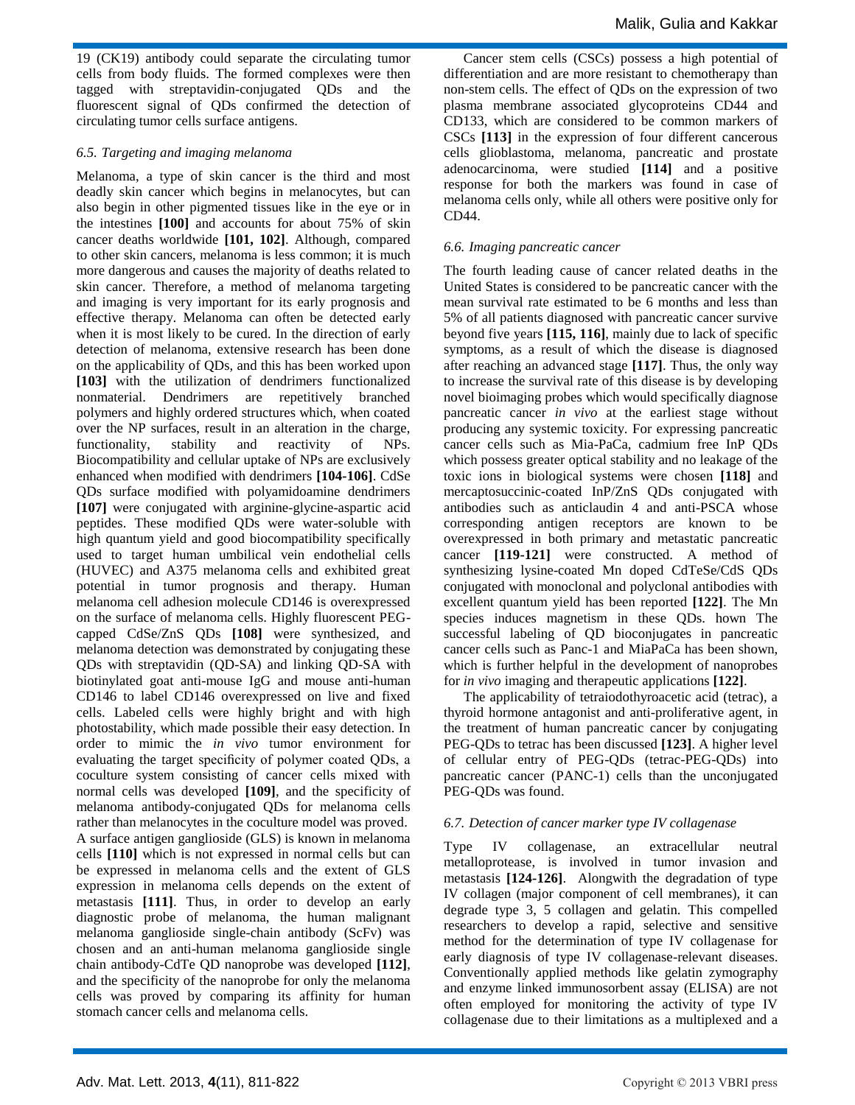19 (CK19) antibody could separate the circulating tumor cells from body fluids. The formed complexes were then tagged with streptavidin-conjugated QDs and the fluorescent signal of QDs confirmed the detection of circulating tumor cells surface antigens.

#### *6.5. Targeting and imaging melanoma*

Melanoma, a type of skin cancer is the third and most deadly skin cancer which begins in melanocytes, but can also begin in other pigmented tissues like in the eye or in the intestines **[100]** and accounts for about 75% of skin cancer deaths worldwide **[101, 102]**. Although, compared to other skin cancers, melanoma is less common; it is much more dangerous and causes the majority of deaths related to skin cancer. Therefore, a method of melanoma targeting and imaging is very important for its early prognosis and effective therapy. Melanoma can often be detected early when it is most likely to be cured. In the direction of early detection of melanoma, extensive research has been done on the applicability of QDs, and this has been worked upon **[103]** with the utilization of dendrimers functionalized nonmaterial. Dendrimers are repetitively branched polymers and highly ordered structures which, when coated over the NP surfaces, result in an alteration in the charge, functionality, stability and reactivity of NPs. Biocompatibility and cellular uptake of NPs are exclusively enhanced when modified with dendrimers **[104-106]**. CdSe QDs surface modified with polyamidoamine dendrimers **[107]** were conjugated with arginine-glycine-aspartic acid peptides. These modified QDs were water-soluble with high quantum yield and good biocompatibility specifically used to target human umbilical vein endothelial cells (HUVEC) and A375 melanoma cells and exhibited great potential in tumor prognosis and therapy. Human melanoma cell adhesion molecule CD146 is overexpressed on the surface of melanoma cells. Highly fluorescent PEGcapped CdSe/ZnS QDs **[108]** were synthesized, and melanoma detection was demonstrated by conjugating these QDs with streptavidin (QD-SA) and linking QD-SA with biotinylated goat anti-mouse IgG and mouse anti-human CD146 to label CD146 overexpressed on live and fixed cells. Labeled cells were highly bright and with high photostability, which made possible their easy detection. In order to mimic the *in vivo* tumor environment for evaluating the target specificity of polymer coated QDs, a coculture system consisting of cancer cells mixed with normal cells was developed **[109]**, and the specificity of melanoma antibody-conjugated QDs for melanoma cells rather than melanocytes in the coculture model was proved. A surface antigen ganglioside (GLS) is known in melanoma cells **[110]** which is not expressed in normal cells but can be expressed in melanoma cells and the extent of GLS expression in melanoma cells depends on the extent of metastasis **[111]**. Thus, in order to develop an early diagnostic probe of melanoma, the human malignant melanoma ganglioside single-chain antibody (ScFv) was chosen and an anti-human melanoma ganglioside single chain antibody-CdTe QD nanoprobe was developed **[112]**, and the specificity of the nanoprobe for only the melanoma cells was proved by comparing its affinity for human stomach cancer cells and melanoma cells.

Cancer stem cells (CSCs) possess a high potential of differentiation and are more resistant to chemotherapy than non-stem cells. The effect of QDs on the expression of two plasma membrane associated glycoproteins CD44 and CD133, which are considered to be common markers of CSCs **[113]** in the expression of four different cancerous cells glioblastoma, melanoma, pancreatic and prostate adenocarcinoma, were studied **[114]** and a positive response for both the markers was found in case of melanoma cells only, while all others were positive only for CD44.

#### *6.6. Imaging pancreatic cancer*

The fourth leading cause of cancer related deaths in the United States is considered to be pancreatic cancer with the mean survival rate estimated to be 6 months and less than 5% of all patients diagnosed with pancreatic cancer survive beyond five years **[115, 116]**, mainly due to lack of specific symptoms, as a result of which the disease is diagnosed after reaching an advanced stage **[117]**. Thus, the only way to increase the survival rate of this disease is by developing novel bioimaging probes which would specifically diagnose pancreatic cancer *in vivo* at the earliest stage without producing any systemic toxicity. For expressing pancreatic cancer cells such as Mia-PaCa, cadmium free InP QDs which possess greater optical stability and no leakage of the toxic ions in biological systems were chosen **[118]** and mercaptosuccinic-coated InP/ZnS QDs conjugated with antibodies such as anticlaudin 4 and anti-PSCA whose corresponding antigen receptors are known to be overexpressed in both primary and metastatic pancreatic cancer **[119-121]** were constructed. A method of synthesizing lysine-coated Mn doped CdTeSe/CdS QDs conjugated with monoclonal and polyclonal antibodies with excellent quantum yield has been reported **[122]**. The Mn species induces magnetism in these QDs. hown The successful labeling of QD bioconjugates in pancreatic cancer cells such as Panc-1 and MiaPaCa has been shown, which is further helpful in the development of nanoprobes for *in vivo* imaging and therapeutic applications **[122]**.

The applicability of tetraiodothyroacetic acid (tetrac), a thyroid hormone antagonist and anti-proliferative agent, in the treatment of human pancreatic cancer by conjugating PEG-QDs to tetrac has been discussed **[123]**. A higher level of cellular entry of PEG-QDs (tetrac-PEG-QDs) into pancreatic cancer (PANC-1) cells than the unconjugated PEG-QDs was found.

#### *6.7. Detection of cancer marker type IV collagenase*

Type IV collagenase, an extracellular neutral metalloprotease, is involved in tumor invasion and metastasis **[124-126]**. Alongwith the degradation of type IV collagen (major component of cell membranes), it can degrade type 3, 5 collagen and gelatin. This compelled researchers to develop a rapid, selective and sensitive method for the determination of type IV collagenase for early diagnosis of type IV collagenase-relevant diseases. Conventionally applied methods like gelatin zymography and enzyme linked immunosorbent assay (ELISA) are not often employed for monitoring the activity of type IV collagenase due to their limitations as a multiplexed and a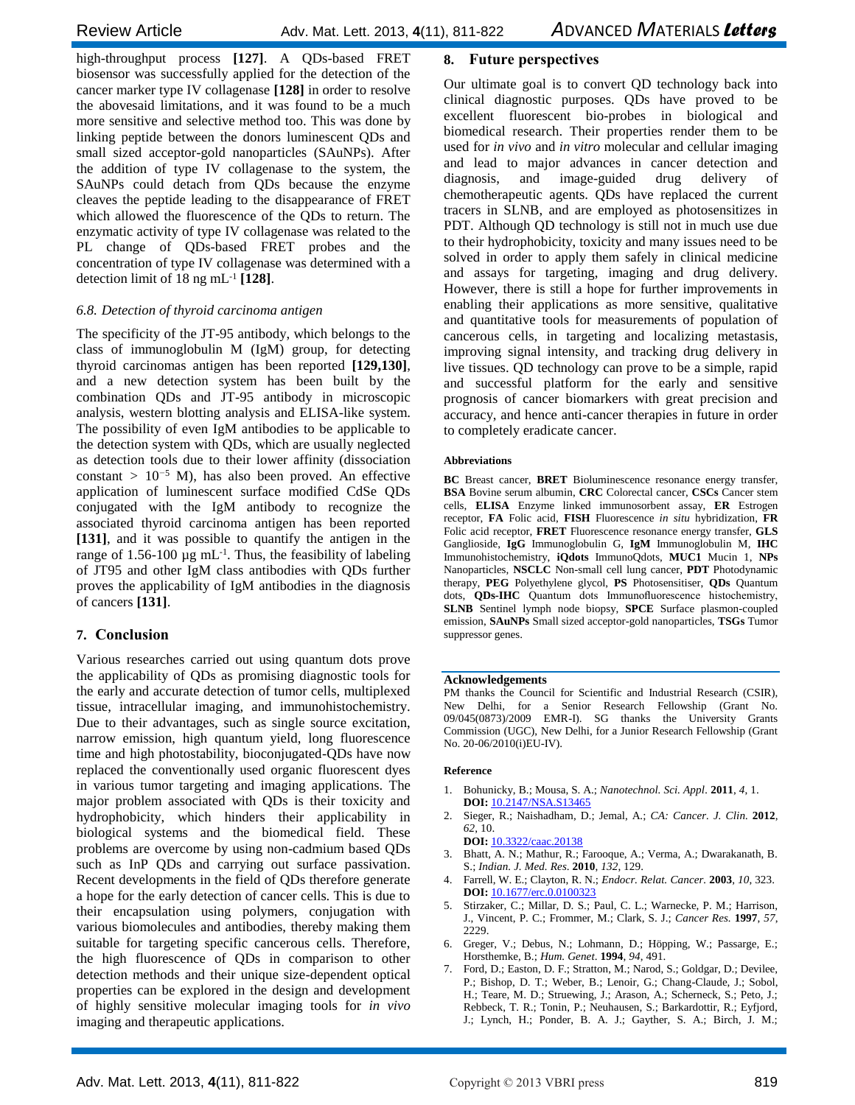high-throughput process **[127]**. A QDs-based FRET biosensor was successfully applied for the detection of the cancer marker type IV collagenase **[128]** in order to resolve the abovesaid limitations, and it was found to be a much more sensitive and selective method too. This was done by linking peptide between the donors luminescent QDs and small sized acceptor-gold nanoparticles (SAuNPs). After the addition of type IV collagenase to the system, the SAuNPs could detach from QDs because the enzyme cleaves the peptide leading to the disappearance of FRET which allowed the fluorescence of the QDs to return. The enzymatic activity of type IV collagenase was related to the PL change of QDs-based FRET probes and the concentration of type IV collagenase was determined with a detection limit of 18 ng mL-1 **[128]**.

# *6.8. Detection of thyroid carcinoma antigen*

The specificity of the JT-95 antibody, which belongs to the class of immunoglobulin M (IgM) group, for detecting thyroid carcinomas antigen has been reported **[129,130]**, and a new detection system has been built by the combination QDs and JT-95 antibody in microscopic analysis, western blotting analysis and ELISA-like system. The possibility of even IgM antibodies to be applicable to the detection system with QDs, which are usually neglected as detection tools due to their lower affinity (dissociation constant *>* 10*<sup>−</sup>*<sup>5</sup> M), has also been proved. An effective application of luminescent surface modified CdSe QDs conjugated with the IgM antibody to recognize the associated thyroid carcinoma antigen has been reported **[131]**, and it was possible to quantify the antigen in the range of  $1.56$ -100 µg mL<sup>-1</sup>. Thus, the feasibility of labeling of JT95 and other IgM class antibodies with QDs further proves the applicability of IgM antibodies in the diagnosis of cancers **[131]**.

# **7. Conclusion**

Various researches carried out using quantum dots prove the applicability of QDs as promising diagnostic tools for the early and accurate detection of tumor cells, multiplexed tissue, intracellular imaging, and immunohistochemistry. Due to their advantages, such as single source excitation, narrow emission, high quantum yield, long fluorescence time and high photostability, bioconjugated-QDs have now replaced the conventionally used organic fluorescent dyes in various tumor targeting and imaging applications. The major problem associated with QDs is their toxicity and hydrophobicity, which hinders their applicability in biological systems and the biomedical field. These problems are overcome by using non-cadmium based QDs such as InP QDs and carrying out surface passivation. Recent developments in the field of QDs therefore generate a hope for the early detection of cancer cells. This is due to their encapsulation using polymers, conjugation with various biomolecules and antibodies, thereby making them suitable for targeting specific cancerous cells. Therefore, the high fluorescence of QDs in comparison to other detection methods and their unique size-dependent optical properties can be explored in the design and development of highly sensitive molecular imaging tools for *in vivo* imaging and therapeutic applications.

# **8. Future perspectives**

Our ultimate goal is to convert QD technology back into clinical diagnostic purposes. QDs have proved to be excellent fluorescent bio-probes in biological and biomedical research. Their properties render them to be used for *in vivo* and *in vitro* molecular and cellular imaging and lead to major advances in cancer detection and diagnosis, and image-guided drug delivery of chemotherapeutic agents. QDs have replaced the current tracers in SLNB, and are employed as photosensitizes in PDT. Although QD technology is still not in much use due to their hydrophobicity, toxicity and many issues need to be solved in order to apply them safely in clinical medicine and assays for targeting, imaging and drug delivery. However, there is still a hope for further improvements in enabling their applications as more sensitive, qualitative and quantitative tools for measurements of population of cancerous cells, in targeting and localizing metastasis, improving signal intensity, and tracking drug delivery in live tissues. QD technology can prove to be a simple, rapid and successful platform for the early and sensitive prognosis of cancer biomarkers with great precision and accuracy, and hence anti-cancer therapies in future in order to completely eradicate cancer.

#### **Abbreviations**

**BC** Breast cancer, **BRET** Bioluminescence resonance energy transfer, **BSA** Bovine serum albumin, **CRC** Colorectal cancer, **CSCs** Cancer stem cells, **ELISA** Enzyme linked immunosorbent assay, **ER** Estrogen receptor, **FA** Folic acid, **FISH** Fluorescence *in situ* hybridization, **FR** Folic acid receptor, **FRET** Fluorescence resonance energy transfer, **GLS** Ganglioside, **IgG** Immunoglobulin G, **IgM** Immunoglobulin M, **IHC** Immunohistochemistry, **iQdots** ImmunoQdots, **MUC1** Mucin 1, **NPs**  Nanoparticles, **NSCLC** Non-small cell lung cancer, **PDT** Photodynamic therapy, **PEG** Polyethylene glycol, **PS** Photosensitiser, **QDs** Quantum dots, **QDs-IHC** Quantum dots Immunofluorescence histochemistry, **SLNB** Sentinel lymph node biopsy, **SPCE** Surface plasmon-coupled emission, **SAuNPs** Small sized acceptor-gold nanoparticles, **TSGs** Tumor suppressor genes.

#### **Acknowledgements**

PM thanks the Council for Scientific and Industrial Research (CSIR), New Delhi, for a Senior Research Fellowship (Grant No. 09/045(0873)/2009 EMR-I). SG thanks the University Grants Commission (UGC), New Delhi, for a Junior Research Fellowship (Grant No. 20-06/2010(i)EU-IV).

#### **Reference**

- 1. Bohunicky, B.; Mousa, S. A.; *Nanotechnol. Sci. Appl.* **2011**, *4*, 1. **DOI:** 10.2147/NSA.S13465
- 2. Sieger, R.; Naishadham, D.; Jemal, A.; *CA: Cancer. J. Clin.* **2012**, *62*, 10.
	- **DOI:** 10.3322/caac.20138
- 3. Bhatt, A. N.; Mathur, R.; Farooque, A.; Verma, A.; Dwarakanath, B. S.; *Indian. J. Med. Res*. **2010**, *132*, 129.
- 4. Farrell, W. E.; Clayton, R. N.; *Endocr. Relat. Cancer.* **2003**, *10*, 323. **DOI:** 10.1677/erc.0.0100323
- 5. Stirzaker, C.; Millar, D. S.; Paul, C. L.; Warnecke, P. M.; Harrison, J., Vincent, P. C.; Frommer, M.; Clark, S. J.; *Cancer Res.* **1997**, *57*, 2229.
- 6. Greger, V.; Debus, N.; Lohmann, D.; Höpping, W.; Passarge, E.; Horsthemke, B.; *Hum. Genet*. **1994**, *94*, 491.
- 7. Ford, D.; Easton, D. F.; Stratton, M.; Narod, S.; Goldgar, D.; Devilee, P.; Bishop, D. T.; Weber, B.; Lenoir, G.; Chang-Claude, J.; Sobol, H.; Teare, M. D.; Struewing, J.; Arason, A.; Scherneck, S.; Peto, J.; Rebbeck, T. R.; Tonin, P.; Neuhausen, S.; Barkardottir, R.; Eyfjord, J.; Lynch, H.; Ponder, B. A. J.; Gayther, S. A.; Birch, J. M.;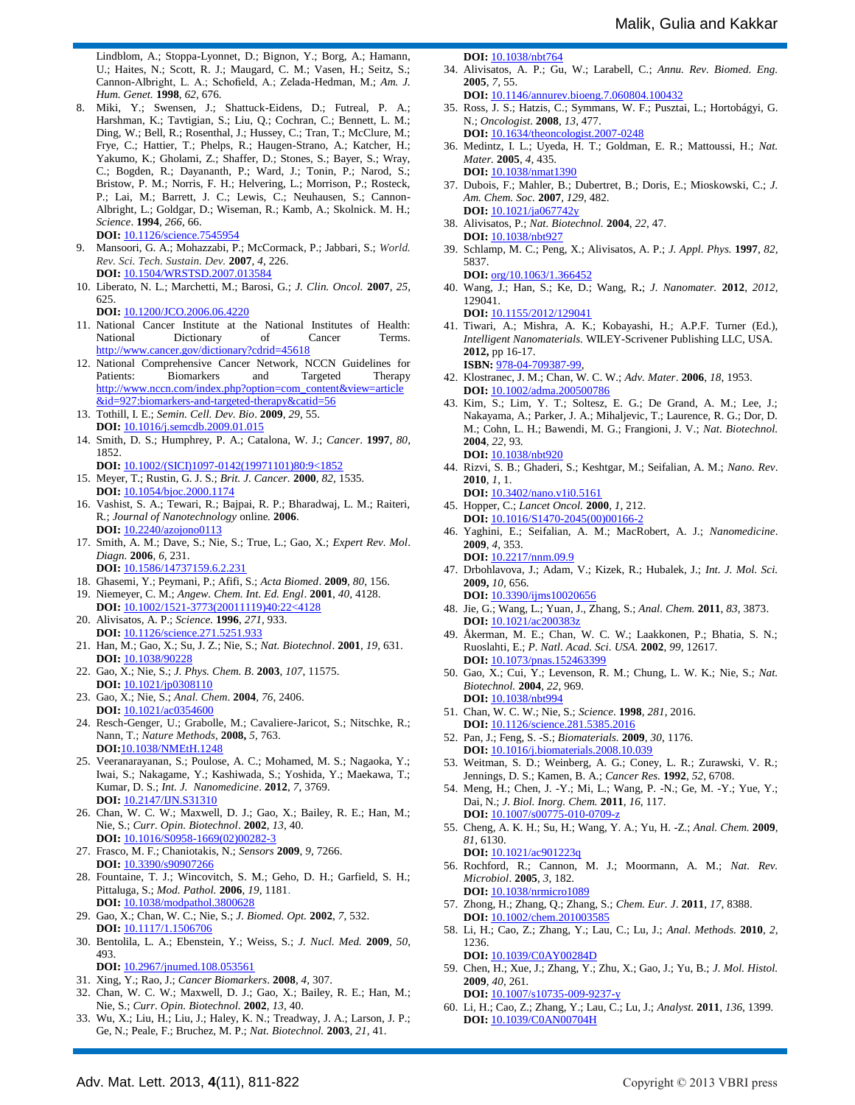Lindblom, A.; Stoppa-Lyonnet, D.; Bignon, Y.; Borg, A.; Hamann, U.; Haites, N.; Scott, R. J.; Maugard, C. M.; Vasen, H.; Seitz, S.; Cannon-Albright, L. A.; Schofield, A.; Zelada-Hedman, M.; *Am. J. Hum. Genet.* **1998**, *62*, 676*.*

- 8. Miki, Y.; Swensen, J.; Shattuck-Eidens, D.; Futreal, P. A.; Harshman, K.; Tavtigian, S.; Liu, Q.; Cochran, C.; Bennett, L. M.; Ding, W.; Bell, R.; Rosenthal, J.; Hussey, C.; Tran, T.; McClure, M.; Frye, C.; Hattier, T.; Phelps, R.; Haugen-Strano, A.; Katcher, H.; Yakumo, K.; Gholami, Z.; Shaffer, D.; Stones, S.; Bayer, S.; Wray, C.; Bogden, R.; Dayananth, P.; Ward, J.; Tonin, P.; Narod, S.; Bristow, P. M.; Norris, F. H.; Helvering, L.; Morrison, P.; Rosteck, P.; Lai, M.; Barrett, J. C.; Lewis, C.; Neuhausen, S.; Cannon-Albright, L.; Goldgar, D.; Wiseman, R.; Kamb, A.; Skolnick. M. H.; *Science*. **1994**, *266*, 66. **DOI:** 10.1126/science.7545954
- 9. Mansoori, G. A.; Mohazzabi, P.; McCormack, P.; Jabbari, S.; *World. Rev. Sci. Tech. Sustain. Dev.* **2007**, *4*, 226. **DOI:** 10.1504/WRSTSD.2007.013584
- 10. Liberato, N. L.; Marchetti, M.; Barosi, G.; *J. Clin. Oncol.* **2007**, *25*, 625.

**DOI:** 10.1200/JCO.2006.06.4220

- 11. National Cancer Institute at the National Institutes of Health: National Dictionary of Cancer Terms. http://www.cancer.gov/dictionary?cdrid=45618
- 12. National Comprehensive Cancer Network, NCCN Guidelines for Patients: Biomarkers and Targeted Therapy http://www.nccn.com/index.php?option=com\_content&view=article &id=927:biomarkers-and-targeted-therapy&catid=56
- 13. Tothill, I. E.; *Semin. Cell. Dev. Bio*. **2009**, *29*, 55. **DOI:** 10.1016/j.semcdb.2009.01.015
- 14. Smith, D. S.; Humphrey, P. A.; Catalona, W. J.; *Cancer*. **1997***, 80*, 1852.
- **DOI:** 10.1002/(SICI)1097-0142(19971101)80:9<1852 15. Meyer, T.; Rustin, G. J. S.; *Brit. J. Cancer.* **2000**, *82*, 1535*.*
- **DOI:** 10.1054/bjoc.2000.1174
- 16. Vashist, S. A.; Tewari, R.; Bajpai, R. P.; Bharadwaj, L. M.; Raiteri, R*.*; *Journal of Nanotechnology* online*.* **2006**. **DOI:** 10.2240/azojono0113
- 17. Smith, A. M.; Dave, S.; Nie, S.; True, L.; Gao, X.; *Expert Rev. Mol*. *Diagn.* **2006**, *6,* 231. **DOI:** 10.1586/14737159.6.2.231
- 18. Ghasemi, Y.; Peymani, P.; Afifi, S.; *Acta Biomed*. **2009**, *80*, 156.
- 19. Niemeyer, C. M.; *Angew. Chem. Int. Ed. Engl*. **2001**, *40*, 4128. **DOI:** 10.1002/1521-3773(20011119)40:22<4128
- 20. Alivisatos, A. P.; *Science.* **1996**, *271*, 933. **DOI:** 10.1126/science.271.5251.93
- 21. Han, M.; Gao, X.; Su, J. Z.; Nie, S.; *Nat. Biotechnol*. **2001**, *19*, 631. **DOI:** 10.1038/90228
- 22. Gao, X.; Nie, S.; *J. Phys. Chem. B*. **2003**, *107*, 11575. **DOI:** 10.1021/jp0308110
- 23. Gao, X.; Nie, S.; *Anal. Chem*. **2004**, *76*, 2406. **DOI:** 10.1021/ac0354600
- 24. Resch-Genger, U.; Grabolle, M.; Cavaliere-Jaricot, S.; Nitschke, R.; Nann, T.; *Nature Methods*, **2008,** *5,* 763. **DOI:**10.1038/NMEtH.1248
- 25. Veeranarayanan, S.; Poulose, A. C.; Mohamed, M. S.; Nagaoka, Y.; Iwai, S.; Nakagame, Y.; Kashiwada, S.; Yoshida, Y.; Maekawa, T.; Kumar, D. S.; *Int. J. Nanomedicine*. **2012**, *7*, 3769. **DOI:** 10.2147/IJN.S31310
- 26. Chan, W. C. W.; Maxwell, D. J.; Gao, X.; Bailey, R. E.; Han, M.; Nie, S.; *Curr. Opin. Biotechnol*. **2002**, *13*, 40. **DOI:** 10.1016/S0958-1669(02)00282
- 27. Frasco, M. F.; Chaniotakis, N.; *Sensors* **2009**, *9,* 7266. **DOI:** 10.3390/s90907266
- 28. Fountaine, T. J.; Wincovitch, S. M.; Geho, D. H.; Garfield, S. H.; Pittaluga, S.; *Mod. Pathol.* **2006**, *19*, 1181. **DOI:** 10.1038/modpathol.3800628
- 29. Gao, X.; Chan, W. C.; Nie, S.; *J. Biomed. Opt.* **2002**, *7*, 532. **DOI:** 10.1117/1.1506706
- 30. Bentolila, L. A.; Ebenstein, Y.; Weiss, S.; *J. Nucl. Med.* **2009**, *50*, 493.
	- **DOI:** 10.2967/jnumed.108.053561
- 31. Xing, Y.; Rao, J.; *Cancer Biomarkers*. **2008**, *4*, 307.
- 32. Chan, W. C. W.; Maxwell, D. J.; Gao, X.; Bailey, R. E.; Han, M.; Nie, S.; *Curr. Opin. Biotechnol.* **2002**, *13*, 40.
- 33. Wu, X.; Liu, H.; Liu, J.; Haley, K. N.; Treadway, J. A.; Larson, J. P.; Ge, N.; Peale, F.; Bruchez, M. P.; *Nat. Biotechnol.* **2003**, *21*, 41*.*

**DOI:** 10.1038/nbt764

- 34. Alivisatos, A. P.; Gu, W.; Larabell, C*.*; *Annu. Rev. Biomed. Eng.*  **2005**, *7*, 55.
	- **DOI:** 10.1146/annurev.bioeng.7.060804.100432
- 35. Ross, J. S.; Hatzis, C.; Symmans, W. F.; Pusztai, L.; Hortobágyi, G. N.; *Oncologist*. **2008**, *13*, 477. **DOI:** 10.1634/theoncologist.2007-0248
- 36. Medintz, I. L.; Uyeda, H. T.; Goldman, E. R.; Mattoussi, H.; *Nat. Mater.* **2005**, *4*, 435. **DOI:** 10.1038/nmat1390
- 37. Dubois, F.; Mahler, B.; Dubertret, B.; Doris, E.; Mioskowski, C.; *J. Am. Chem. Soc.* **2007**, *129*, 482. **DOI:** 10.1021/ja067742y
- 38. Alivisatos, P.; *Nat. Biotechnol.* **2004**, *22*, 47. **DOI:** 10.1038/nbt927
- 39. Schlamp, M. C.; Peng, X.; Alivisatos, A. P.; *J. Appl. Phys.* **1997**, *82,* 5837.
- **DOI:** org/10.1063/1.366452 40. Wang, J.; Han, S.; Ke, D.; Wang, R**.**; *J. Nanomater.* **2012**, *2012*, 129041. **DOI:** 10.1155/2012/129041
- 41. Tiwari, A.; Mishra, A. K.; Kobayashi, H.; A.P.F. Turner (Ed.), *Intelligent Nanomaterials.* WILEY-Scrivener Publishing LLC, USA. **2012,** pp 16-17. **ISBN:** 978-04-709387-99,
- 42. Klostranec, J. M.; Chan, W. C. W.; *Adv. Mater*. **2006**, *18*, 1953. **DOI:** 10.1002/adma.200500786
- 43. Kim, S.; Lim, Y. T.; Soltesz, E. G.; De Grand, A. M.; Lee, J.; Nakayama, A.; Parker, J. A.; Mihaljevic, T.; Laurence, R. G.; Dor, D. M.; Cohn, L. H.; Bawendi, M. G.; Frangioni, J. V.; *Nat. Biotechnol.* **2004**, *22*, 93*.* **DOI:** 10.1038/nbt920
- 44. Rizvi, S. B.; Ghaderi, S.; Keshtgar, M.; Seifalian, A. M.; *Nano. Rev*. **2010**, *1*, 1.
- **DOI:** 10.3402/nano.v1i0.5161 45. Hopper, C.; *Lancet Oncol.* **2000**, *1*, 212.
- **DOI:** 10.1016/S1470-2045(00)00166-2
- 46. Yaghini, E.; Seifalian, A. M.; MacRobert, A. J.; *Nanomedicine*. **2009**, *4*, 353. **DOI:** 10.2217/nnm.09.9
- 47. Drbohlavova, J.; Adam, V.; Kizek, R.; Hubalek, J.; *Int. J. Mol. Sci.* **2009,** *10,* 656.
- **DOI:** 10.3390/ijms10020656
- 48. Jie, G.; Wang, L.; Yuan, J., Zhang, S.; *Anal. Chem.* **2011**, *83*, 3873. **DOI:** 10.1021/ac200383z
- 49. Åkerman, M. E.; Chan, W. C. W.; Laakkonen, P.; Bhatia, S. N.; Ruoslahti, E.; *P. Natl. Acad. Sci. USA.* **2002**, *99,* 12617*.* **DOI:** 10.1073/pnas.152463399
- 50. Gao, X.; Cui, Y.; Levenson, R. M.; Chung, L. W. K.; Nie, S.; *Nat. Biotechnol.* **2004**, *22*, 969*.* **DOI:** 10.1038/nbt994
- 51. Chan, W. C. W.; Nie, S.; *Science*. **1998**, *281*, 2016. **DOI:** 10.1126/science.281.5385.2016
- 52. Pan, J.; Feng, S. -S.; *Biomaterials.* **2009**, *30*, 1176. **DOI:** 10.1016/j.biomaterials.2008.10.039
- 53. Weitman, S. D.; Weinberg, A. G.; Coney, L. R.; Zurawski, V. R.; Jennings, D. S.; Kamen, B. A.; *Cancer Res.* **1992**, *52*, 6708.
- 54. Meng, H.; Chen, J. -Y.; Mi, L.; Wang, P. -N.; Ge, M. -Y.; Yue, Y.; Dai, N.; *J. Biol. Inorg. Chem.* **2011**, *16*, 117. **DOI:** 10.1007/s00775-010-0709-z
- 55. Cheng, A. K. H.; Su, H.; Wang, Y. A.; Yu, H. -Z.; *Anal. Chem.* **2009**, *81*, 6130.
- **DOI:** 10.1021/ac901223q 56. Rochford, R.; Cannon, M. J.; Moormann, A. M.; *Nat. Rev. Microbiol*. **2005**, *3*, 182. **DOI:** 10.1038/nrmicro1089
- 57. Zhong, H.; Zhang, Q.; Zhang, S.; *Chem. Eur. J*. **2011**, *17*, 8388. **DOI:** 10.1002/chem.201003585
- 58. Li, H.; Cao, Z.; Zhang, Y.; Lau, C.; Lu, J.; *Anal. Methods.* **2010**, *2*, 1236. **DOI:** 10.1039/C0AY00284D
- 59. Chen, H.; Xue, J.; Zhang, Y.; Zhu, X.; Gao, J.; Yu, B.; *J. Mol. Histol.*  **2009**, *40*, 261*.*
- **DOI:** 10.1007/s10735-009-9237-y 60. Li, H.; Cao, Z.; Zhang, Y.; Lau, C.; Lu, J.; *Analyst.* **2011**, *136*, 1399*.* **DOI:** 10.1039/C0AN00704H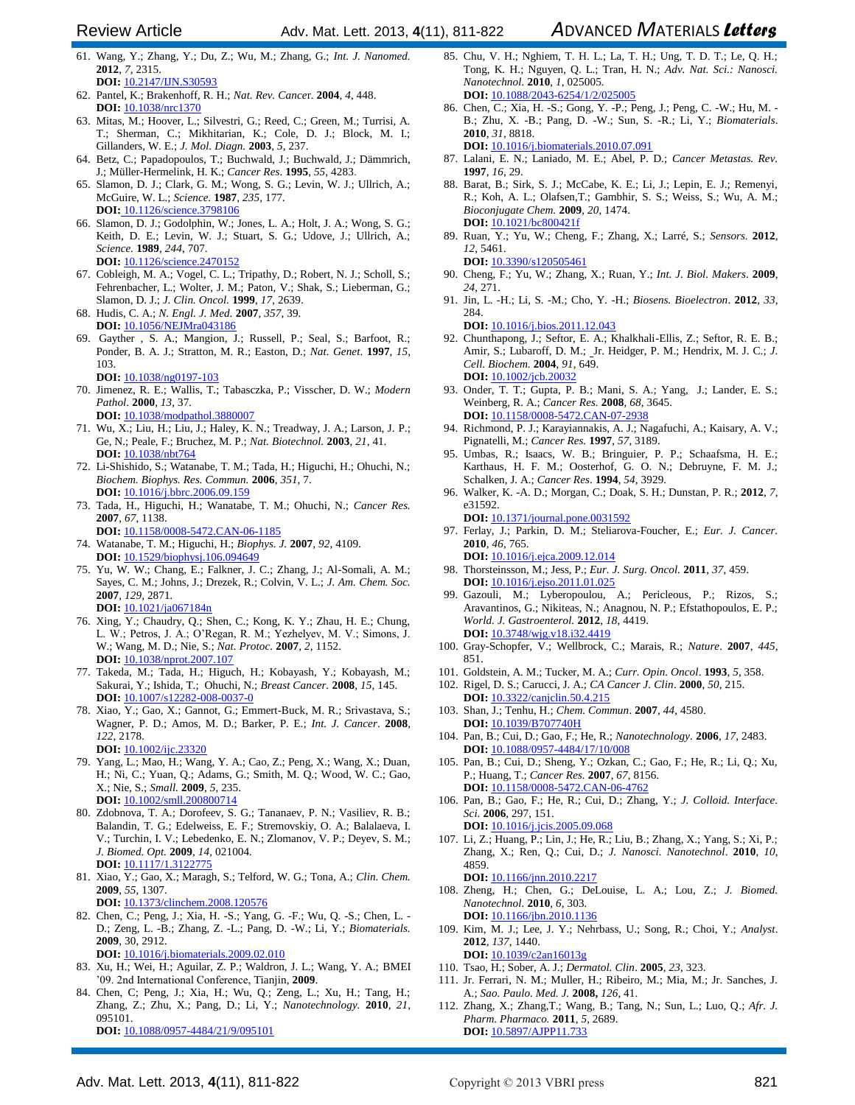- 61. Wang, Y.; Zhang, Y.; Du, Z.; Wu, M.; Zhang, G.; *Int. J. Nanomed.*  **2012**, *7*, 2315. **DOI:** 10.2147/IJN.S30593
- 62. Pantel, K.; Brakenhoff, R. H.; *Nat. Rev. Cance*r. **2004**, *4*, 448. **DOI:** 10.1038/nrc1370
- 63. Mitas, M.; Hoover, L.; Silvestri, G.; Reed, C.; Green, M.; Turrisi, A. T.; Sherman, C.; Mikhitarian, K.; Cole, D. J.; Block, M. I.; Gillanders, W. E.; *J. Mol. Diagn.* **2003**, *5*, 237.
- 64. Betz, C.; Papadopoulos, T.; Buchwald, J.; Buchwald, J.; Dämmrich, J.; Müller-Hermelink, H. K.; *Cancer Res*. **1995**, *55*, 4283.
- 65. Slamon, D. J.; Clark, G. M.; Wong, S. G.; Levin, W. J.; Ullrich, A.; McGuire, W. L.; *Science.* **1987**, *235*, 177*.* **DOI:** 10.1126/science.3798106
- 66. Slamon, D. J.; Godolphin, W.; Jones, L. A.; Holt, J. A.; Wong, S. G.; Keith, D. E.; Levin, W. J.; Stuart, S. G.; Udove, J.; Ullrich, A.; *Science.* **1989**, *244*, 707. **DOI:** 10.1126/science.2470152
- 67. Cobleigh, M. A.; Vogel, C. L.; Tripathy, D.; Robert, N. J.; Scholl, S.; Fehrenbacher, L.; Wolter, J. M.; Paton, V.; Shak, S.; Lieberman, G.; Slamon, D. J.; *J. Clin. Oncol.* **1999**, *17*, 2639.
- 68. Hudis, C. A.; *N. Engl. J. Med.* **2007***, 357,* 39*.* **DOI:** 10.1056/NEJMra043186
- 69. Gayther , S. A.; Mangion, J.; Russell, P.; Seal, S.; Barfoot, R.; Ponder, B. A. J.; Stratton, M. R.; Easton, D.; *Nat. Genet*. **1997**, *15*, 103.
	- **DOI:** 10.1038/ng0197-103
- 70. Jimenez, R. E.; Wallis, T.; Tabasczka, P.; Visscher, D. W.; *Modern Pathol.* **2000**, *13*, 37*.* **DOI:** 10.1038/modpathol.3880007
- 71. Wu, X.; Liu, H.; Liu, J.; Haley, K. N.; Treadway, J. A.; Larson, J. P.; Ge, N.; Peale, F.; Bruchez, M. P.; *Nat. Biotechnol.* **2003**, *21*, 41*.* **DOI:** 10.1038/nbt764
- 72. Li-Shishido, S.; Watanabe, T. M.; Tada, H.; Higuchi, H.; Ohuchi, N.; *Biochem. Biophys. Res. Commun.* **2006**, *351*, 7. **DOI:** 10.1016/j.bbrc.2006.09.159
- 73. Tada, H., Higuchi, H.; Wanatabe, T. M.; Ohuchi, N.; *Cancer Res.* **2007**, *67*, 1138. **DOI:** 10.1158/0008-5472.CAN-06-1185
- 74. Watanabe, T. M.; Higuchi, H.; *Biophys. J.* **2007**, *92*, 4109. **DOI:** 10.1529/biophysj.106.09464
- 75. Yu, W. W.; Chang, E.; Falkner, J. C.; Zhang, J.; Al-Somali, A. M.; Sayes, C. M.; Johns, J.; Drezek, R.; Colvin, V. L.; *J. Am. Chem. Soc.* **2007**, *129*, 2871*.* **DOI:** 10.1021/ja067184n
- 76. Xing, Y.; Chaudry, Q.; Shen, C.; Kong, K. Y.; Zhau, H. E.; Chung, L. W.; Petros, J. A.; O'Regan, R. M.; Yezhelyev, M. V.; Simons, J. W.; Wang, M. D.; Nie, S.; *Nat. Protoc.* **2007**, *2*, 1152. **DOI:** 10.1038/nprot.2007.107
- 77. Takeda, M.; Tada, H.; Higuch, H.; Kobayash, Y.; Kobayash, M.; Sakurai, Y.; Ishida, T.; Ohuchi, N.; *Breast Cancer.* **2008**, *15*, 145. **DOI:** 10.1007/s12282-008-0037-0
- 78. Xiao, Y.; Gao, X.; Gannot, G.; Emmert-Buck, M. R.; Srivastava, S.; Wagner, P. D.; Amos, M. D.; Barker, P. E.; *Int. J. Cancer*. **2008**, *122*, 2178. **DOI:** 10.1002/ijc.23320
- 79. Yang, L.; Mao, H.; Wang, Y. A.; Cao, Z.; Peng, X.; Wang, X.; Duan, H.; Ni, C.; Yuan, Q.; Adams, G.; Smith, M. Q.; Wood, W. C.; Gao, X.; Nie, S.; *Small.* **2009**, *5*, 235. **DOI:** 10.1002/smll.200800714
- 80. Zdobnova, T. A.; Dorofeev, S. G.; Tananaev, P. N.; Vasiliev, R. B.; Balandin, T. G.; Edelweiss, E. F.; Stremovskiy, O. A.; Balalaeva, I. V.; Turchin, I. V.; Lebedenko, E. N.; Zlomanov, V. P.; Deyev, S. M.; *J. Biomed. Opt.* **2009**, *14*, 021004*.* **DOI:** 10.1117/1.3122775
- 81. Xiao, Y.; Gao, X.; Maragh, S.; Telford, W. G.; Tona, A.; *Clin. Chem.*  **2009**, *55*, 1307. **DOI:** 10.1373/clinchem.2008.120576
- 82. Chen, C.; Peng, J.; Xia, H. -S.; Yang, G. -F.; Wu, Q. -S.; Chen, L. D.; Zeng, L. -B.; Zhang, Z. -L.; Pang, D. -W.; Li, Y.; *Biomaterials.*  **2009**, 30, 2912. **DOI:** 10.1016/j.biomaterials.2009.02.010
- 83. Xu, H.; Wei, H.; Aguilar, Z. P.; Waldron, J. L.; Wang, Y. A.; BMEI '09. 2nd International Conference, Tianjin, **2009**.
- 84. Chen, C; Peng, J.; Xia, H.; Wu, Q.; Zeng, L.; Xu, H.; Tang, H.; Zhang, Z.; Zhu, X.; Pang, D.; Li, Y.; *Nanotechnology.* **2010**, *21*, 095101. **DOI:** 10.1088/0957-4484/21/9/095101
- 85. Chu, V. H.; Nghiem, T. H. L.; La, T. H.; Ung, T. D. T.; Le, Q. H.; Tong, K. H.; Nguyen, Q. L.; Tran, H. N.; *Adv. Nat. Sci.: Nanosci. Nanotechnol.* **2010**, *1*, 025005*.* **DOI:** 10.1088/2043-6254/1/2/025005
- 86. Chen, C.; Xia, H. -S.; Gong, Y. -P.; Peng, J.; Peng, C. -W.; Hu, M. B.; Zhu, X. -B.; Pang, D. -W.; Sun, S. -R.; Li, Y.; *Biomaterials*. **2010**, *31*, 8818. **DOI:** 10.1016/j.biomaterials.2010.07.091
- 87. Lalani, E. N.; Laniado, M. E.; Abel, P. D.; *Cancer Metastas. Rev.*  **1997**, *16*, 29.
- 88. Barat, B.; Sirk, S. J.; McCabe, K. E.; Li, J.; Lepin, E. J.; Remenyi, R.; Koh, A. L.; Olafsen,T.; Gambhir, S. S.; Weiss, S.; Wu, A. M.; *Bioconjugate Chem.* **2009**, *20*, 1474. **DOI:** 10.1021/bc800421f
- 89. Ruan, Y.; Yu, W.; Cheng, F.; Zhang, X.; Larré, S.; *Sensors.* **2012**, *12*, 5461. **DOI:** 10.3390/s120505461
- 90. Cheng, F.; Yu, W.; Zhang, X.; Ruan, Y.; *Int. J. Biol. Makers*. **2009**, *24*, 271.
- 91. Jin, L. -H.; Li, S. -M.; Cho, Y. -H.; *Biosens. Bioelectron*. **2012**, *33*, 284.

**DOI:** 10.1016/j.bios.2011.12.043

- 92. Chunthapong, J.; Seftor, E. A.; Khalkhali-Ellis, Z.; Seftor, R. E. B.; Amir, S.; Lubaroff, D. M.; Jr. Heidger, P. M.; Hendrix, M. J. C.; *J. Cell. Biochem.* **2004**, *91*, 649. **DOI:** 10.1002/jcb.20032
- 93. Onder, T. T.; Gupta, P. B.; Mani, S. A.; Yang, J.; Lander, E. S.; Weinberg, R. A.; *Cancer Res.* **2008**, *68*, 3645. **DOI:** 10.1158/0008-5472.CAN-07-2938
- 94. Richmond, P. J.; Karayiannakis, A. J.; Nagafuchi, A.; Kaisary, A. V.; Pignatelli, M.; *Cancer Res.* **1997**, *57*, 3189.
- 95. Umbas, R.; Isaacs, W. B.; Bringuier, P. P.; Schaafsma, H. E.; Karthaus, H. F. M.; Oosterhof, G. O. N.; Debruyne, F. M. J.; Schalken, J. A.; *Cancer Res*. **1994**, *54*, 3929.
- 96. Walker, K. -A. D.; Morgan, C.; Doak, S. H.; Dunstan, P. R.; **2012**, *7*, e31592.

**DOI:** 10.1371/journal.pone.0031592 97. Ferlay, J.; Parkin, D. M.; Steliarova-Foucher, E.; *Eur. J. Cancer.* **2010**, *46*, 765.

- **DOI:** 10.1016/j.ejca.2009.12.014 98. Thorsteinsson, M.; Jess, P.; *Eur. J. Surg. Oncol.* **2011**, *37*, 459. **DOI:** 10.1016/j.ejso.2011.01.025
- 99. Gazouli, M.; Lyberopoulou, A.; Pericleous, P.; Rizos, S.; Aravantinos, G.; Nikiteas, N.; Anagnou, N. P.; Efstathopoulos, E. P.; *World. J. Gastroenterol.* **2012**, *18*, 4419. **DOI:** 10.3748/wjg.v18.i32.4419
- 100. Gray-Schopfer, V.; Wellbrock, C.; Marais, R.; *Nature*. **2007**, *445*, 851.
- 101. Goldstein, A. M.; Tucker, M. A.; *Curr. Opin. Oncol*. **1993**, *5*, 358.
- 102. Rigel, D. S.; Carucci, J. A.; *CA Cancer J. Clin*. **2000**, *50*, 215. **DOI:** 10.3322/canjclin.50.4.215
- 103. Shan, J.; Tenhu, H.; *Chem. Commun*. **2007**, *44*, 4580. **DOI:** 10.1039/B707740H
- 104. Pan, B.; Cui, D.; Gao, F.; He, R.; *Nanotechnology.* **2006**, *17*, 2483. **DOI:** 10.1088/0957-4484/17/10/008
- 105. Pan, B.; Cui, D.; Sheng, Y.; Ozkan, C.; Gao, F.; He, R.; Li, Q.; Xu, P.; Huang, T.; *Cancer Res.* **2007**, *67*, 8156. **DOI:** 10.1158/0008-5472.CAN-06-4762
- 106. Pan, B.; Gao, F.; He, R.; Cui, D.; Zhang, Y.; *J. Colloid. Interface. Sci.* **2006**, 297, 151.
- **DOI:** 10.1016/j.jcis.2005.09.068 107. Li, Z.; Huang, P.; Lin, J.; He, R.; Liu, B.; Zhang, X.; Yang, S.; Xi, P.; Zhang, X.; Ren, Q.; Cui, D.; *J. Nanosci. Nanotechnol*. **2010**, *10*, 4859. **DOI:** 10.1166/jnn.2010.2217
- 108. Zheng, H.; Chen, G.; DeLouise, L. A.; Lou, Z.; *J. Biomed. Nanotechnol.* **2010**, *6*, 303*.* **DOI:** 10.1166/jbn.2010.1136
- 109. Kim, M. J.; Lee, J. Y.; Nehrbass, U.; Song, R.; Choi, Y.; *Analyst*. **2012**, *137*, 1440. **DOI:** 10.1039/c2an16013g
- 110. Tsao, H.; Sober, A. J.; *Dermatol. Clin*. **2005**, *23*, 323.
- 111. Jr. Ferrari, N. M.; Muller, H.; Ribeiro, M.; Mia, M.; Jr. Sanches, J. A.; *Sao. Paulo. Med. J.* **2008,** *126*, 41.
- 112. Zhang, X.; Zhang,T.; Wang, B.; Tang, N.; Sun, L.; Luo, Q.; *Afr. J. Pharm. Pharmaco.* **2011**, *5*, 2689. **DOI:** 10.5897/AJPP11.733